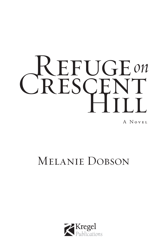## Refuge*on* CRESCENT A N o v e l

## Melanie Dobson

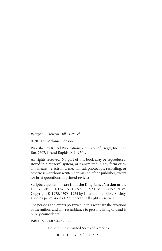*Refuge on Crescent Hill: A Novel*

© 2010 by Melanie Dobson

Published by Kregel Publications, a division of Kregel, Inc., P.O. Box 2607, Grand Rapids, MI 49501.

All rights reserved. No part of this book may be reproduced, stored in a retrieval system, or transmitted in any form or by any means—electronic, mechanical, photocopy, recording, or otherwise—without written permission of the publisher, except for brief quotations in printed reviews.

Scripture quotations are from the King James Version or the HOLY BIBLE, NEW INTERNATIONAL VERSION®. NIV®. Copyright © 1973, 1978, 1984 by International Bible Society. Used by permission of Zondervan. All rights reserved.

The persons and events portrayed in this work are the creations of the author, and any resemblance to persons living or dead is purely coincidental.

ISBN 978-0-8254-2590-5

Printed in the United States of America

10 11 12 13 14 / 5 4 3 2 1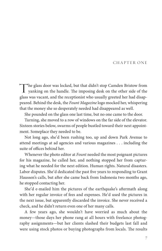## CH A P T ER ON E

The glass door was locked, but that didn't stop Camden Bristow from yanking on the handle. The imposing desk on the other side of the glass was vacant, and the receptionist who usually greeted her had disappeared. Behind the desk, the *Fount Magazine* logo mocked her, whispering that the money she so desperately needed had disappeared as well.

She pounded on the glass one last time, but no one came to the door.

Turning, she moved to a row of windows on the far side of the elevator. Sixteen stories below, swarms of people bustled toward their next appointment. Someplace they needed to be.

Not long ago, she'd been rushing too, up and down Park Avenue to attend meetings at ad agencies and various magazines . . . including the suite of offices behind her.

Whenever the photo editor at *Fount* needed the most poignant pictures for his magazine, he called her, and nothing stopped her from capturing what he needed for the next edition. Human rights. Natural disasters. Labor disputes. She'd dedicated the past five years to responding to Grant Haussen's calls, but after she came back from Indonesia two months ago, he stopped contacting her.

She'd e-mailed him the pictures of the earthquake's aftermath along with her regular invoice of fees and expenses. He'd used the pictures in the next issue, but apparently discarded the invoice. She never received a check, and he didn't return even one of her many calls.

A few years ago, she wouldn't have worried as much about the money—those days her phone rang at all hours with freelance photography assignments—but her clients slashed their budgets last fall and were using stock photos or buying photographs from locals. The results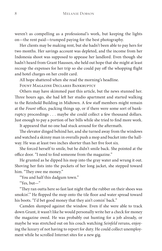weren't as compelling as a professional's work, but keeping the lights on—the rent paid—trumped paying for the best photography.

Her clients may be making rent, but she hadn't been able to pay hers for two months. Her savings account was depleted, and the income from her Indonesia shoot was supposed to appease her landlord. Even though she hadn't heard from Grant Haussen, she held out hope that she might at least recoup the expenses for her trip so she could pay off the whopping flight and hotel charges on her credit card.

All hope shattered when she read the morning's headline.

Fount Magazine Declares Bankruptcy

Others may have skimmed past this article, but the news stunned her. Three hours ago, she had left her studio apartment and started walking to the Reinhold Building in Midtown. A few staff members might remain at the *Fount* office, packing things up, or if there were some sort of bankruptcy proceedings . . . maybe she could collect a few thousand dollars. Just enough to pay a portion of her bills while she tried to find more work.

It appeared that no one had stuck around for the aftermath.

The elevator dinged behind her, and she turned away from the windows and watched a skinny man in overalls push a mop and bucket into the hallway. He was at least two inches shorter than her five foot six.

She forced herself to smile, but he didn't smile back. She pointed at the office door. "I need to find someone from the magazine."

He grunted as he dipped his mop into the gray water and wrung it out. Shoving her fists into the pockets of her long jacket, she stepped toward him. "They owe me money."

"You and half this dadgum town."

"Yes, but—"

"They ran outta here so fast last night that the rubber on their shoes was smokin'." He flopped the mop onto the tile floor and water spread toward his boots. "I'd bet good money that they ain't comin' back."

Camden slumped against the window. Even if she were able to track down Grant, it wasn't like he would personally write her a check for money the magazine owed. He was probably out hunting for a job already, or maybe he was stretched out on his couch watching *Seinfeld* reruns, enjoying the luxury of not having to report for duty. He could collect unemployment while he scrolled Internet sites for a new gig.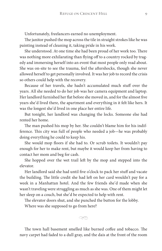Unfortunately, freelancers earned no unemployment.

The janitor pushed the mop across the tile in straight strokes like he was painting instead of cleaning it, taking pride in his work.

She understood. At one time she had been proud of her work too. There was nothing more exhilarating than flying off to a country rocked by tragedy and immersing herself into an event that most people only read about. She was on-site to see the trauma, feel the aftershocks, though she never allowed herself to get personally involved. It was her job to record the crisis so others could help with the recovery.

Because of her travels, she hadn't accumulated much stuff over the years. All she needed to do her job was her camera equipment and laptop. Her landlord furnished her flat before she moved in, and for the almost five years she'd lived there, the apartment and everything in it felt like hers. It was the longest she'd lived in one place her entire life.

But tonight, her landlord was changing the locks. Someone else had rented her home.

The man pushed his mop by her. She couldn't blame him for his indifference. This city was full of people who needed a job—he was probably doing everything he could to keep his.

She would mop floors if she had to. Or scrub toilets. It wouldn't pay enough for her to make rent, but maybe it would keep her from having to contact her mom and beg for cash.

She hopped over the wet trail left by the mop and stepped into the elevator.

Her landlord said she had until five o'clock to pack her stuff and vacate the building. The little credit she had left on her card wouldn't pay for a week in a Manhattan hotel. And the few friends she'd made when she wasn't traveling were struggling as much as she was. One of them might let her sleep on a couch, but she'd be expected to help with rent.

The elevator doors shut, and she punched the button for the lobby.

Where was she supposed to go from here?

∞

The town hall basement smelled like burned coffee and tobacco. The navy carpet had faded to a dull gray, and the dais at the front of the room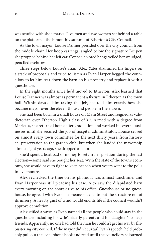was scuffed with shoe marks. Five men and two women sat behind a table on the platform—the bimonthly summit of Etherton's City Council.

As the town mayor, Louise Danner presided over the city council from the middle chair. Her hoop earrings jangled below the signature Bic pen she propped behind her left ear. Copper-colored bangs veiled her smudged, penciled eyebrows.

Three steps below Louise's chair, Alex Yates drummed his fingers on a stack of proposals and tried to listen as Evan Harper begged the councilors to let him tear down the barn on his property and replace it with a guesthouse.

In the eight months since he'd moved to Etherton, Alex learned that Louise Danner was almost as permanent a fixture in Etherton as the town hall. Within days of him taking this job, she told him exactly how she became mayor over the eleven thousand people in their town.

She had been born in a small house off Main Street and reigned as valedictorian over Etherton High's class of '67. Armed with a degree from Marietta, she returned home after graduation and worked in several businesses until she secured the job of hospital administrator. Louise served on almost every town committee for the next thirty years, from historical preservation to the garden club, but when she landed the mayorship almost eight years ago, she dropped anchor.

She'd spent a boatload of money to retain her position during the last election—some said she bought her seat. With the state of the town's economy, she would have to fight to keep her job when voters went to the polls in five months.

Alex rechecked the time on his phone. It was almost lunchtime, and Evan Harper was still pleading his case. Alex saw the dilapidated barn every morning on the short drive to his office. Guesthouse or no guesthouse, he agreed with Evan—someone needed to put the structure out of its misery. A hearty gust of wind would end its life if the council wouldn't approve demolition.

Alex stifled a yawn as Evan named all the people who could stay in the guesthouse including his wife's elderly parents and his daughter's college friends. Apparently, no one had told the man he couldn't get his way by filibustering city council. If the mayor didn't curtail Evan's speech, he'd probably pull out the local phone book and read until the councilors adjourned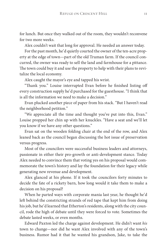for lunch. But once they walked out of the room, they wouldn't reconvene for two more weeks.

Alex couldn't wait that long for approval. He needed an answer today.

For the past month, he'd quietly courted the owner of the ten-acre property at the edge of town—part of the old Truman farm. If the council concurred, the owner was ready to sell the land and farmhouse for a pittance. The town could buy it and use the property to help with their plans to revitalize the local economy.

Alex caught the mayor's eye and tapped his wrist.

"Thank you." Louise interrupted Evan before he finished listing off every construction supply he'd purchased for the guesthouse. "I think that is all the information we need to make a decision."

Evan plucked another piece of paper from his stack. "But I haven't read the neighborhood petition."

"We appreciate all the time and thought you've put into this, Evan." Louise propped her chin up with her knuckles. "Have a seat and we'll let you know if we have any other questions."

Evan sat on the wooden folding chair at the end of the row, and Alex leaned back as the council began discussing the hot issue of preservation versus progress.

Most of the councilors were successful business leaders and attorneys, passionate in either their pro-growth or anti-development stance. Today Alex needed to convince them that voting yes on his proposal would commemorate the town's history and lay the foundation for their legacy while generating new revenue and development.

Alex glanced at his phone. If it took the councilors forty minutes to decide the fate of a rickety barn, how long would it take them to make a decision on his proposal?

When he parted ways with corporate mania last year, he thought he'd left behind the constricting strands of red tape that kept him from doing his job, but he'd learned that Etherton's residents, along with the city council, rode the high of debate until they were forced to vote. Sometimes the debate lasted weeks, or even months.

Edward Paxton led the charge against development. He didn't want *his* town to change—nor did he want Alex involved with any of the town's business. Rumor had it that he wanted his grandson, Jake, to take the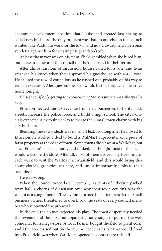economic development position that Louise had created last spring to solicit new business. The only problem was that no one else on the council wanted Jake Paxton to work for the town, and now Edward held a personal vendetta against him for stealing his grandson's job.

At least the mayor was on his team. She'd gambled when she hired him, but he assured her and the council that he'd deliver. On their terms.

After almost an hour of discussion, Louise called for a vote, and Evan smacked his knees when they approved his guesthouse with a 4–3 vote. He saluted the row of councilors as he rushed out, probably on his way to rent an excavator. Alex guessed the barn would be in a heap when he drove home tonight.

He sighed. *If only getting the council to approve a project was always this easy . . .*

Etherton needed the tax revenue from new businesses to fix its brick streets, increase the police force, and build a high school. The city's officials expected Alex to find a way to merge their small town charm with big city business.

Blending these two ideals was no small feat. Not long after he moved to Etherton, he worked a deal to build a WalMart Supercenter on a piece of farm property at the edge of town. Some towns didn't want a WalMart, but since Etherton's local economy had tanked, he thought most of the locals would welcome the store. After all, most of them drove forty-five minutes each week to visit the WalMart in Mansfield, and this would bring discount clothes, groceries, car care, and—most importantly—jobs to their back door.

He was wrong.

When the council voted last December, residents of Etherton packed town hall, a chorus of dissension over why their town couldn't bear the weight of a conglomerate. The icy room turned hot as tempers flared. Small business owners threatened to overthrow the seats of every council member who supported the proposal.

In the end, the council rejected his plan. The town desperately needed the revenue and the jobs, but apparently not enough to put out the welcome mat for a mega-store. A local farmer bought the field to plant corn, and Etherton missed out on the much-needed sales tax that would flood into Fredericktown when Wal-Mart opened its doors there this fall.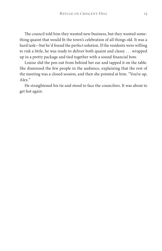The council told him they wanted new business, but they wanted something quaint that would fit the town's celebration of all things old. It was a hard task—but he'd found the perfect solution. If the residents were willing to risk a little, he was ready to deliver both quaint and classy . . . wrapped up in a pretty package and tied together with a sound financial bow.

Louise slid the pen out from behind her ear and tapped it on the table. She dismissed the few people in the audience, explaining that the rest of the meeting was a closed session, and then she pointed at him. "You're up, Alex."

He straightened his tie and stood to face the councilors. It was about to get hot again.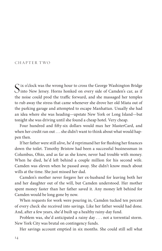## CH A P T ER T WO

Six o'clock was the wrong hour to cross the George Washington Bridge<br>into New Jersey. Horns honked on every side of Camden's car, as if the noise could prod the traffic forward, and she massaged her temples to rub away the stress that came whenever she drove her old Miata out of the parking garage and attempted to escape Manhattan. Usually she had an idea where she was heading—upstate New York or Long Island—but tonight she was driving until she found a cheap hotel. Very cheap.

Four hundred and fifty-six dollars would max her MasterCard, and when her credit ran out . . . she didn't want to think about what would happen then.

If her father were still alive, he'd reprimand her for flushing her finances down the toilet. Timothy Bristow had been a successful businessman in Columbus, Ohio, and as far as she knew, never had trouble with money. When he died, he'd left behind a couple million for his second wife. Camden was eleven when he passed away. She didn't know much about wills at the time. She just missed her dad.

Camden's mother never forgave her ex-husband for leaving both her and her daughter out of the will, but Camden understood. Her mother spent money faster than her father saved it. Any money left behind for Camden would be long gone by now.

When requests for work were pouring in, Camden tucked ten percent of every check she received into savings. Like her father would had done. And, after a few years, she'd built up a healthy rainy-day fund.

Problem was, she'd anticipated a rainy day . . . not a torrential storm. New York City was brutal on contingency funds.

Her savings account emptied in six months. She could still sell what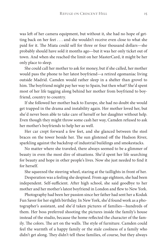was left of her camera equipment, but without it, she had no hope of getting back on her feet . . . and she wouldn't receive even close to what she paid for it. The Miata could sell for three or four thousand dollars—she probably should have sold it months ago—but it was her only ticket out of town. And when she reached the limit on her MasterCard, it might be her only place to sleep.

She could call her mother to ask for money, but if she called, her mother would pass the phone to her latest boyfriend—a retired egomaniac living outside Madrid. Camden would rather sleep in a shelter than grovel to him. The boyfriend might pay her way to Spain, but then what? She'd spent most of her life tagging along behind her mother from boyfriend to boyfriend, country to country.

If she followed her mother back to Europe, she had no doubt she would get trapped in the drama and instability again. Her mother loved her, but she'd never been able to take care of herself or her daughter without help. Even though they might throw some cash her way, Camden refused to ask her mother's boyfriends to help her as well.

Her car crept forward a few feet, and she glanced between the steel braces on the tower beside her. The sun glistened off the Hudson River, sparkling against the backdrop of industrial buildings and smokestacks.

No matter where she traveled, there always seemed to be a glimmer of beauty in even the most dire of situations. She'd spent her life searching for beauty and hope in other people's lives. Now she just needed to find it for herself.

She squeezed the steering wheel, staring at the taillights in front of her.

Desperation was a feeling she despised. From age eighteen, she had been independent. Self-sufficient. After high school, she said goodbye to her mother and her mother's latest boyfriend in London and flew to New York.

Photography had been her passion since her father had sent her a Kodak Fun Saver for her eighth birthday. In New York, she'd found work as a photographer's assistant, and she'd taken pictures of families—hundreds of them. Her boss preferred shooting the pictures inside the family's house instead of the studio, because the home reflected the character of the family. The colors. The art on the walls. The style of furniture. Camden could feel the warmth of a happy family or the stale coolness of a family who didn't get along. They didn't tell these families, of course, but they always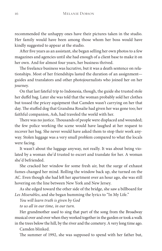recommended the unhappy ones have their pictures taken in the studio. Her family would have been among those whom her boss would have kindly suggested to appear at the studio.

After five years as an assistant, she began selling her own photos to a few magazines and agencies until she had enough of a client base to make it on her own. And for almost four years, her business thrived.

The freelance business was lucrative, but it was a death sentence on relationships. Most of her friendships lasted the duration of an assignment guides and translators and other photojournalists who joined her on her journey.

On that last fateful trip to Indonesia, though, the guide she trusted stole her duffel bag. Later she was told that the woman probably sold her clothes but tossed the pricey equipment that Camden wasn't carrying on her that day. The stuffed dog that Grandma Rosalie had given her was gone too; her faithful companion, Ash, had traveled the world with her.

There was no justice. Thousands of people were displaced and wounded; the few police working the scene would have laughed at her request to recover her bag. She never would have asked them to stop their work anyway. Stolen luggage was a very small problem compared to what the locals were facing.

It wasn't about the luggage anyway, not really. It was about being violated by a woman she'd trusted to escort and translate for her. A woman she'd befriended.

She cracked her window for some fresh air, but the surge of exhaust fumes changed her mind. Rolling the window back up, she turned on the AC. Even though she had left her apartment over an hour ago, she was still hovering on the line between New York and New Jersey.

As she edged toward the other side of the bridge, she saw a billboard for *Les Miserables*, and she began humming the lyrics to "In My Life."

*You will learn truth is given by God*

*to us all in our time, in our turn.*

Her grandmother used to sing that part of the song from the Broadway musical over and over when they worked together in the garden or took a walk in the trees below the hill, by the river and the cemetery. A very long time ago.

Camden blinked.

The summer of 1992, she was supposed to spend with her father but,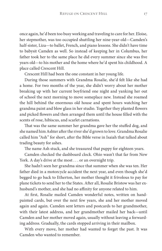once again, he'd been too busy working and traveling to care for her. Eloise, her stepmother, was too occupied shuttling her nine-year-old—Camden's half-sister, Liza—to ballet, French, and piano lessons. She didn't have time to babysit Camden as well. So instead of keeping her in Columbus, her father took her to the same place he did every summer since she was five years old—to his mother and the home where he'd spent his childhood. A place called Crescent Hill.

Crescent Hill had been the one constant in her young life.

During those summers with Grandma Rosalie, she'd felt like she had a home. For two months of the year, she didn't worry about her mother breaking up with her current boyfriend one night and yanking her out of school the next morning to move someplace new. Instead she roamed the hill behind the enormous old house and spent hours watching her grandma paint and blow glass in her studio. Together they planted flowers and picked flowers and then arranged them until the house filled with the scents of rose, hibiscus, and scarlet carnations.

That was the same summer her grandma gave her the stuffed dog, and she named him Ashter after the river she'd grown to love. Grandma Rosalie called him "Ash" for short, after the Bible verse in Isaiah that talked about trading beauty for ashes.

The name Ash stuck, and she treasured that puppy for eighteen years.

Camden checked the dashboard clock. Ohio wasn't that far from New York. A day's drive at the most . . . or an overnight trip.

She hadn't seen her grandma since that summer when she was ten. Her father died in a motorcycle accident the next year, and even though she'd begged to go back to Etherton, her mother thought it frivolous to pay for plane tickets to send her to the States. After all, Rosalie Bristow was her exhusband's mother, and she had no affinity for anyone related to him.

At first, Rosalie mailed Camden wonderful notes, written on handpainted cards, but over the next few years, she and her mother moved again and again. Camden sent letters and postcards to her grandmother, with their latest address, and her grandmother mailed her back—until Camden and her mother moved again, usually without leaving a forwarding address. Gradually, the cards stopped arriving in their mailbox.

With every move, her mother had wanted to forget the past. It was Camden who wanted to remember.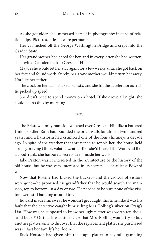As she got older, she immersed herself in photography instead of relationships. Pictures, at least, were permanent.

Her car inched off the George Washington Bridge and crept into the Garden State.

Her grandmother had cared for her, and in every letter she had written, she invited Camden back to Crescent Hill.

Maybe she would let her stay again for a few weeks, until she got back on her feet and found work. Surely, her grandmother wouldn't turn her away. Not like her father.

The clock on her dash clicked past six, and she hit the accelerator as traffic picked up speed.

She didn't need to spend money on a hotel. If she drove all night, she could be in Ohio by morning.

∞

The Bristow family mansion watched over Crescent Hill like a battered Union soldier. Rain had pounded the brick walls for almost two hundred years, and a hailstorm had crumbled one of the four chimneys a decade ago. In spite of the weather that threatened to topple her, the house held strong, braving Ohio's volatile weather like she'd braved the War. And like a good Yank, she harbored secrets deep inside her walls.

Jake Paxton wasn't interested in the architecture or the history of the old house, but he was very interested in its secrets . . . or at least Edward was.

Now that Rosalie had kicked the bucket—and the crowds of visitors were gone—he promised his grandfather that he would search the mansion, top to bottom, in a day or two. He needed to be sure none of the visitors were still hanging around town.

Edward made him swear he wouldn't get caught this time, like it was his fault that the detective caught him selling Mrs. Rolling's silver on Craig's List. How was he supposed to know her ugly platter was worth ten thousand bucks? Or that it was stolen? Or that Mrs. Rolling would try to buy another platter, only to discover that the replacement platter she purchased was in fact her family's heirloom?

Buck Houston had given him the stupid platter to pay off a gambling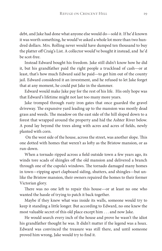debt, and Jake had done what anyone else would do—sold it. If he'd known it was worth something, he would've asked a whole lot more than two hundred dollars. Mrs. Rolling never would have dumped ten thousand to buy the platter off Craig's List. A collector would've bought it instead, and he'd be scot-free.

Instead Edward bought his freedom. Jake still didn't know how he did it, but his grandfather paid the right people a truckload of cash—or at least, that's how much Edward said he paid—to get him out of the county jail. Edward considered it an investment, and he refused to let Jake forget that at any moment, he could put Jake in the slammer.

Edward would make Jake pay for the rest of his life. His only hope was that Edward's lifetime might not last too many more years.

Jake tromped through rusty iron gates that once guarded the gravel driveway. The expansive yard leading up to the mansion was mostly dead grass and weeds. The meadow on the east side of the hill sloped down to a forest that wrapped around the property and hid the Ashter River below. A pond lay beyond the trees along with acres and acres of fields, newly planted with corn.

 On the west side of the house, across the street, was another slope. This one dotted with homes that weren't as lofty as the Bristow mansion, or as run-down.

When a tornado ripped across a field outside town a few years ago, its winds tore scads of shingles off the old mansion and delivered a branch through one of the cupola's windows. The tornado damaged many homes in town—ripping apart clapboard siding, shutters, and shingles—but unlike the Bristow mansion, their owners repaired the homes to their former Victorian glory.

There was no one left to repair this house—or at least no one who wanted the hassle of trying to patch it back together.

Maybe if they knew what was inside its walls, someone would try to keep it standing a little longer. But according to Edward, no one knew the most valuable secret of this old place except him . . . and now Jake.

He would search every inch of the house and prove he wasn't the idiot his grandfather thought he was. It didn't matter if the legend was a hoax. Edward was convinced the treasure was still there, and until someone proved him wrong, Jake would try to find it.